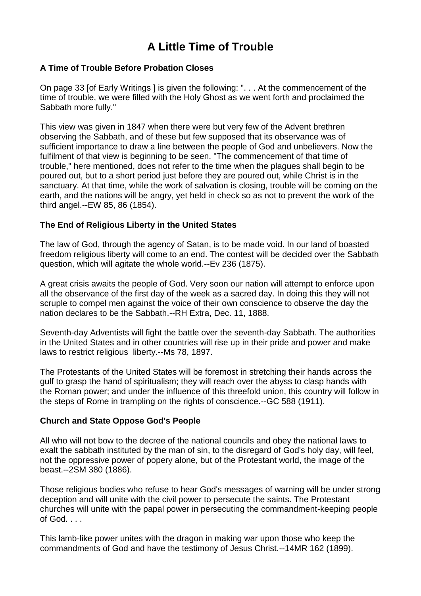# **A Little Time of Trouble**

### **A Time of Trouble Before Probation Closes**

On page 33 [of Early Writings ] is given the following: ". . . At the commencement of the time of trouble, we were filled with the Holy Ghost as we went forth and proclaimed the Sabbath more fully."

This view was given in 1847 when there were but very few of the Advent brethren observing the Sabbath, and of these but few supposed that its observance was of sufficient importance to draw a line between the people of God and unbelievers. Now the fulfilment of that view is beginning to be seen. "The commencement of that time of trouble," here mentioned, does not refer to the time when the plagues shall begin to be poured out, but to a short period just before they are poured out, while Christ is in the sanctuary. At that time, while the work of salvation is closing, trouble will be coming on the earth, and the nations will be angry, yet held in check so as not to prevent the work of the third angel.--EW 85, 86 (1854).

#### **The End of Religious Liberty in the United States**

The law of God, through the agency of Satan, is to be made void. In our land of boasted freedom religious liberty will come to an end. The contest will be decided over the Sabbath question, which will agitate the whole world.--Ev 236 (1875).

A great crisis awaits the people of God. Very soon our nation will attempt to enforce upon all the observance of the first day of the week as a sacred day. In doing this they will not scruple to compel men against the voice of their own conscience to observe the day the nation declares to be the Sabbath.--RH Extra, Dec. 11, 1888.

Seventh-day Adventists will fight the battle over the seventh-day Sabbath. The authorities in the United States and in other countries will rise up in their pride and power and make laws to restrict religious liberty.--Ms 78, 1897.

The Protestants of the United States will be foremost in stretching their hands across the gulf to grasp the hand of spiritualism; they will reach over the abyss to clasp hands with the Roman power; and under the influence of this threefold union, this country will follow in the steps of Rome in trampling on the rights of conscience.--GC 588 (1911).

#### **Church and State Oppose God's People**

All who will not bow to the decree of the national councils and obey the national laws to exalt the sabbath instituted by the man of sin, to the disregard of God's holy day, will feel, not the oppressive power of popery alone, but of the Protestant world, the image of the beast.--2SM 380 (1886).

Those religious bodies who refuse to hear God's messages of warning will be under strong deception and will unite with the civil power to persecute the saints. The Protestant churches will unite with the papal power in persecuting the commandment-keeping people of God. . . .

This lamb-like power unites with the dragon in making war upon those who keep the commandments of God and have the testimony of Jesus Christ.--14MR 162 (1899).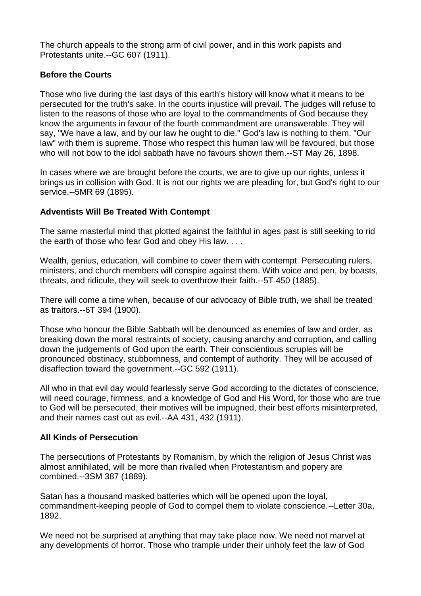The church appeals to the strong arm of civil power, and in this work papists and Protestants unite.--GC 607 (1911).

# **Before the Courts**

Those who live during the last days of this earth's history will know what it means to be persecuted for the truth's sake. In the courts injustice will prevail. The judges will refuse to listen to the reasons of those who are loyal to the commandments of God because they know the arguments in favour of the fourth commandment are unanswerable. They will say, "We have a law, and by our law he ought to die." God's law is nothing to them. "Our law" with them is supreme. Those who respect this human law will be favoured, but those who will not bow to the idol sabbath have no favours shown them.--ST May 26, 1898.

In cases where we are brought before the courts, we are to give up our rights, unless it brings us in collision with God. It is not our rights we are pleading for, but God's right to our service.--5MR 69 (1895).

# **Adventists Will Be Treated With Contempt**

The same masterful mind that plotted against the faithful in ages past is still seeking to rid the earth of those who fear God and obey His law. . . .

Wealth, genius, education, will combine to cover them with contempt. Persecuting rulers, ministers, and church members will conspire against them. With voice and pen, by boasts, threats, and ridicule, they will seek to overthrow their faith.--5T 450 (1885).

There will come a time when, because of our advocacy of Bible truth, we shall be treated as traitors.--6T 394 (1900).

Those who honour the Bible Sabbath will be denounced as enemies of law and order, as breaking down the moral restraints of society, causing anarchy and corruption, and calling down the judgements of God upon the earth. Their conscientious scruples will be pronounced obstinacy, stubbornness, and contempt of authority. They will be accused of disaffection toward the government.--GC 592 (1911).

All who in that evil day would fearlessly serve God according to the dictates of conscience, will need courage, firmness, and a knowledge of God and His Word, for those who are true to God will be persecuted, their motives will be impugned, their best efforts misinterpreted, and their names cast out as evil.--AA 431, 432 (1911).

# **All Kinds of Persecution**

The persecutions of Protestants by Romanism, by which the religion of Jesus Christ was almost annihilated, will be more than rivalled when Protestantism and popery are combined.--3SM 387 (1889).

Satan has a thousand masked batteries which will be opened upon the loyal, commandment-keeping people of God to compel them to violate conscience.--Letter 30a, 1892.

We need not be surprised at anything that may take place now. We need not marvel at any developments of horror. Those who trample under their unholy feet the law of God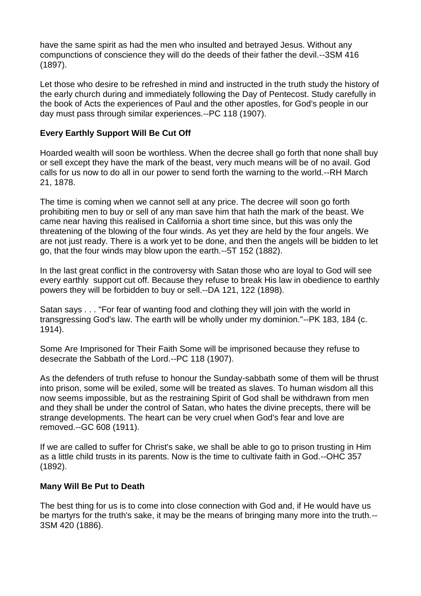have the same spirit as had the men who insulted and betrayed Jesus. Without any compunctions of conscience they will do the deeds of their father the devil.--3SM 416 (1897).

Let those who desire to be refreshed in mind and instructed in the truth study the history of the early church during and immediately following the Day of Pentecost. Study carefully in the book of Acts the experiences of Paul and the other apostles, for God's people in our day must pass through similar experiences.--PC 118 (1907).

# **Every Earthly Support Will Be Cut Off**

Hoarded wealth will soon be worthless. When the decree shall go forth that none shall buy or sell except they have the mark of the beast, very much means will be of no avail. God calls for us now to do all in our power to send forth the warning to the world.--RH March 21, 1878.

The time is coming when we cannot sell at any price. The decree will soon go forth prohibiting men to buy or sell of any man save him that hath the mark of the beast. We came near having this realised in California a short time since, but this was only the threatening of the blowing of the four winds. As yet they are held by the four angels. We are not just ready. There is a work yet to be done, and then the angels will be bidden to let go, that the four winds may blow upon the earth.--5T 152 (1882).

In the last great conflict in the controversy with Satan those who are loyal to God will see every earthly support cut off. Because they refuse to break His law in obedience to earthly powers they will be forbidden to buy or sell.--DA 121, 122 (1898).

Satan says . . . "For fear of wanting food and clothing they will join with the world in transgressing God's law. The earth will be wholly under my dominion."--PK 183, 184 (c. 1914).

Some Are Imprisoned for Their Faith Some will be imprisoned because they refuse to desecrate the Sabbath of the Lord.--PC 118 (1907).

As the defenders of truth refuse to honour the Sunday-sabbath some of them will be thrust into prison, some will be exiled, some will be treated as slaves. To human wisdom all this now seems impossible, but as the restraining Spirit of God shall be withdrawn from men and they shall be under the control of Satan, who hates the divine precepts, there will be strange developments. The heart can be very cruel when God's fear and love are removed.--GC 608 (1911).

If we are called to suffer for Christ's sake, we shall be able to go to prison trusting in Him as a little child trusts in its parents. Now is the time to cultivate faith in God.--OHC 357 (1892).

# **Many Will Be Put to Death**

The best thing for us is to come into close connection with God and, if He would have us be martyrs for the truth's sake, it may be the means of bringing many more into the truth.-- 3SM 420 (1886).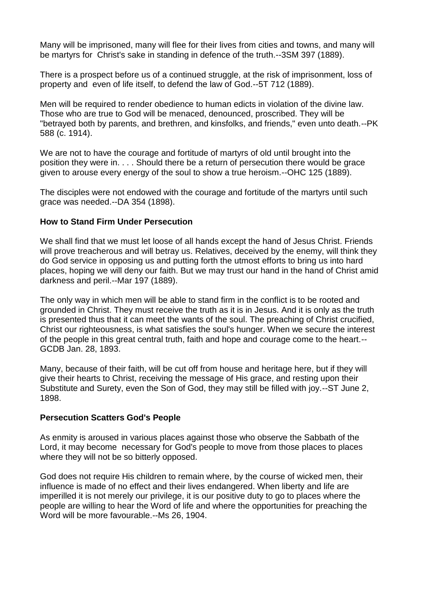Many will be imprisoned, many will flee for their lives from cities and towns, and many will be martyrs for Christ's sake in standing in defence of the truth.--3SM 397 (1889).

There is a prospect before us of a continued struggle, at the risk of imprisonment, loss of property and even of life itself, to defend the law of God.--5T 712 (1889).

Men will be required to render obedience to human edicts in violation of the divine law. Those who are true to God will be menaced, denounced, proscribed. They will be "betrayed both by parents, and brethren, and kinsfolks, and friends," even unto death.--PK 588 (c. 1914).

We are not to have the courage and fortitude of martyrs of old until brought into the position they were in. . . . Should there be a return of persecution there would be grace given to arouse every energy of the soul to show a true heroism.--OHC 125 (1889).

The disciples were not endowed with the courage and fortitude of the martyrs until such grace was needed.--DA 354 (1898).

#### **How to Stand Firm Under Persecution**

We shall find that we must let loose of all hands except the hand of Jesus Christ. Friends will prove treacherous and will betray us. Relatives, deceived by the enemy, will think they do God service in opposing us and putting forth the utmost efforts to bring us into hard places, hoping we will deny our faith. But we may trust our hand in the hand of Christ amid darkness and peril.--Mar 197 (1889).

The only way in which men will be able to stand firm in the conflict is to be rooted and grounded in Christ. They must receive the truth as it is in Jesus. And it is only as the truth is presented thus that it can meet the wants of the soul. The preaching of Christ crucified, Christ our righteousness, is what satisfies the soul's hunger. When we secure the interest of the people in this great central truth, faith and hope and courage come to the heart.-- GCDB Jan. 28, 1893.

Many, because of their faith, will be cut off from house and heritage here, but if they will give their hearts to Christ, receiving the message of His grace, and resting upon their Substitute and Surety, even the Son of God, they may still be filled with joy.--ST June 2, 1898.

#### **Persecution Scatters God's People**

As enmity is aroused in various places against those who observe the Sabbath of the Lord, it may become necessary for God's people to move from those places to places where they will not be so bitterly opposed.

God does not require His children to remain where, by the course of wicked men, their influence is made of no effect and their lives endangered. When liberty and life are imperilled it is not merely our privilege, it is our positive duty to go to places where the people are willing to hear the Word of life and where the opportunities for preaching the Word will be more favourable.--Ms 26, 1904.